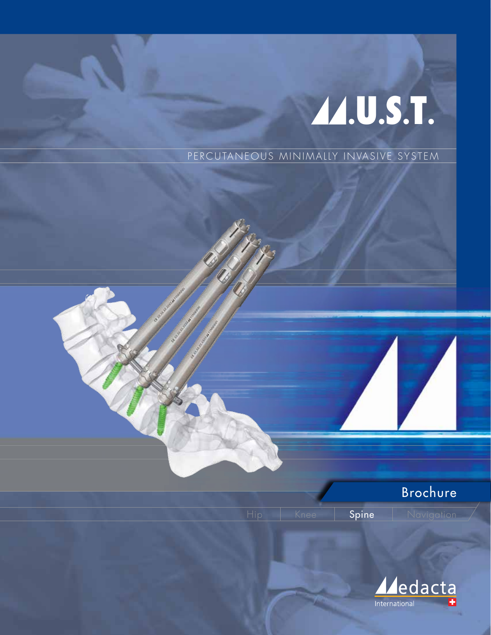## A.U.S.T.

PERCUTANEOUS MINIMALLY INVASIVE SYSTEM



Spine